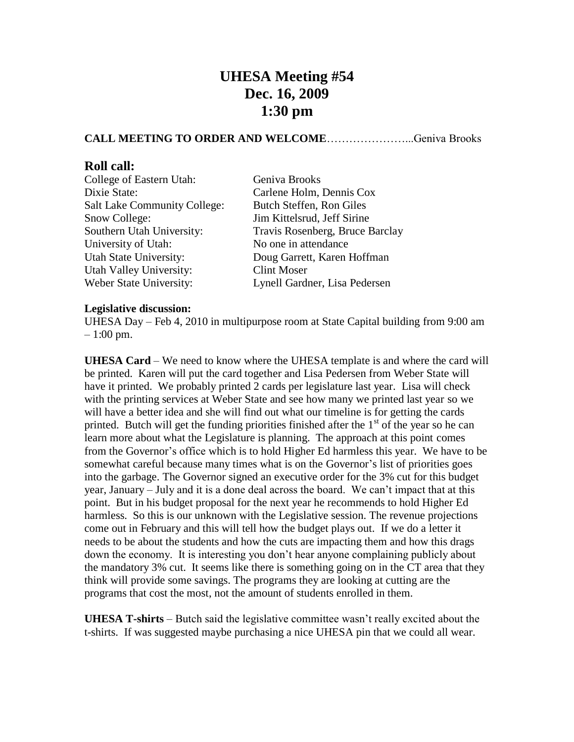## **UHESA Meeting #54 Dec. 16, 2009 1:30 pm**

## **CALL MEETING TO ORDER AND WELCOME**…………………...Geniva Brooks

## **Roll call:**

| College of Eastern Utah:            | Geniva Brooks                   |
|-------------------------------------|---------------------------------|
| Dixie State:                        | Carlene Holm, Dennis Cox        |
| <b>Salt Lake Community College:</b> | Butch Steffen, Ron Giles        |
| Snow College:                       | Jim Kittelsrud, Jeff Sirine     |
| Southern Utah University:           | Travis Rosenberg, Bruce Barclay |
| University of Utah:                 | No one in attendance            |
| Utah State University:              | Doug Garrett, Karen Hoffman     |
| Utah Valley University:             | <b>Clint Moser</b>              |
| Weber State University:             | Lynell Gardner, Lisa Pedersen   |
|                                     |                                 |

## **Legislative discussion:**

UHESA Day – Feb 4, 2010 in multipurpose room at State Capital building from 9:00 am  $-1:00 \text{ pm}$ .

**UHESA Card** – We need to know where the UHESA template is and where the card will be printed. Karen will put the card together and Lisa Pedersen from Weber State will have it printed. We probably printed 2 cards per legislature last year. Lisa will check with the printing services at Weber State and see how many we printed last year so we will have a better idea and she will find out what our timeline is for getting the cards printed. Butch will get the funding priorities finished after the  $1<sup>st</sup>$  of the year so he can learn more about what the Legislature is planning. The approach at this point comes from the Governor's office which is to hold Higher Ed harmless this year. We have to be somewhat careful because many times what is on the Governor's list of priorities goes into the garbage. The Governor signed an executive order for the 3% cut for this budget year, January – July and it is a done deal across the board. We can't impact that at this point. But in his budget proposal for the next year he recommends to hold Higher Ed harmless. So this is our unknown with the Legislative session. The revenue projections come out in February and this will tell how the budget plays out. If we do a letter it needs to be about the students and how the cuts are impacting them and how this drags down the economy. It is interesting you don't hear anyone complaining publicly about the mandatory 3% cut. It seems like there is something going on in the CT area that they think will provide some savings. The programs they are looking at cutting are the programs that cost the most, not the amount of students enrolled in them.

**UHESA T-shirts** – Butch said the legislative committee wasn't really excited about the t-shirts. If was suggested maybe purchasing a nice UHESA pin that we could all wear.